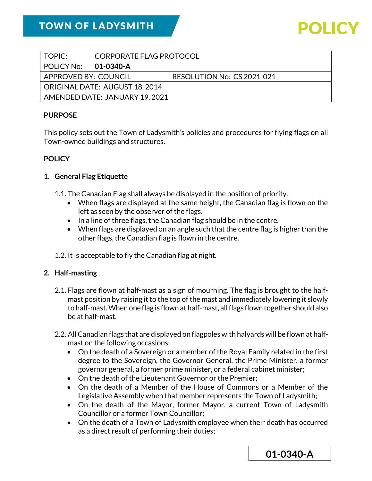| TOPIC:                                | CORPORATE FLAG PROTOCOL |                            |
|---------------------------------------|-------------------------|----------------------------|
| POLICY No:                            | 01-0340-A               |                            |
| APPROVED BY: COUNCIL                  |                         | RESOLUTION No: CS 2021-021 |
| <b>ORIGINAL DATE: AUGUST 18, 2014</b> |                         |                            |
| AMENDED DATE: JANUARY 19, 2021        |                         |                            |
|                                       |                         |                            |

## **PURPOSE**

This policy sets out the Town of Ladysmith's policies and procedures for flying flags on all Town-owned buildings and structures.

## **POLICY**

## **1. General Flag Etiquette**

- 1.1. The Canadian Flag shall always be displayed in the position of priority.
	- When flags are displayed at the same height, the Canadian flag is flown on the left as seen by the observer of the flags.
	- In a line of three flags, the Canadian flag should be in the centre.
	- When flags are displayed on an angle such that the centre flag is higher than the other flags, the Canadian flag is flown in the centre.
- 1.2. It is acceptable to fly the Canadian flag at night.

## **2. Half-masting**

- 2.1. Flags are flown at half-mast as a sign of mourning. The flag is brought to the halfmast position by raising it to the top of the mast and immediately lowering it slowly to half-mast. When one flag is flown at half-mast, all flags flown together should also be at half-mast.
- 2.2. All Canadian flags that are displayed on flagpoles with halyards will be flown at halfmast on the following occasions:
	- On the death of a Sovereign or a member of the Royal Family related in the first degree to the Sovereign, the Governor General, the Prime Minister, a former governor general, a former prime minister, or a federal cabinet minister;
	- On the death of the Lieutenant Governor or the Premier;
	- On the death of a Member of the House of Commons or a Member of the Legislative Assembly when that member represents the Town of Ladysmith;
	- On the death of the Mayor, former Mayor, a current Town of Ladysmith Councillor or a former Town Councillor;
	- On the death of a Town of Ladysmith employee when their death has occurred as a direct result of performing their duties;

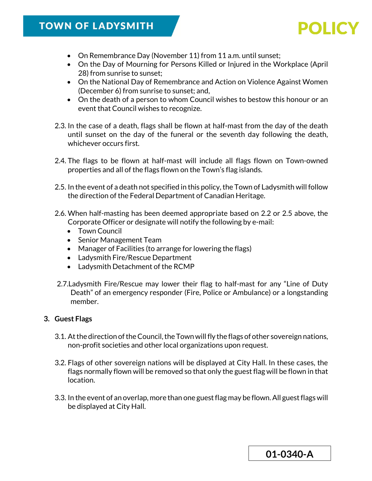# **TOWN OF LADYSMITH**



- On Remembrance Day (November 11) from 11 a.m. until sunset;
- On the Day of Mourning for Persons Killed or Injured in the Workplace (April 28) from sunrise to sunset;
- On the National Day of Remembrance and Action on Violence Against Women (December 6) from sunrise to sunset; and,
- On the death of a person to whom Council wishes to bestow this honour or an event that Council wishes to recognize.
- 2.3. In the case of a death, flags shall be flown at half-mast from the day of the death until sunset on the day of the funeral or the seventh day following the death, whichever occurs first.
- 2.4. The flags to be flown at half-mast will include all flags flown on Town-owned properties and all of the flags flown on the Town's flag islands.
- 2.5. In the event of a death not specified in this policy, the Town of Ladysmith will follow the direction of the Federal Department of Canadian Heritage.
- 2.6. When half-masting has been deemed appropriate based on 2.2 or 2.5 above, the Corporate Officer or designate will notify the following by e-mail:
	- Town Council
	- Senior Management Team
	- Manager of Facilities (to arrange for lowering the flags)
	- Ladysmith Fire/Rescue Department
	- Ladysmith Detachment of the RCMP
- 2.7.Ladysmith Fire/Rescue may lower their flag to half-mast for any "Line of Duty Death" of an emergency responder (Fire, Police or Ambulance) or a longstanding member.

## **3. Guest Flags**

- 3.1. At the direction of the Council, the Town will fly the flags of other sovereign nations, non-profit societies and other local organizations upon request.
- 3.2. Flags of other sovereign nations will be displayed at City Hall. In these cases, the flags normally flown will be removed so that only the guest flag will be flown in that location.
- 3.3. In the event of an overlap, more than one guest flag may be flown. All guestflags will be displayed at City Hall.